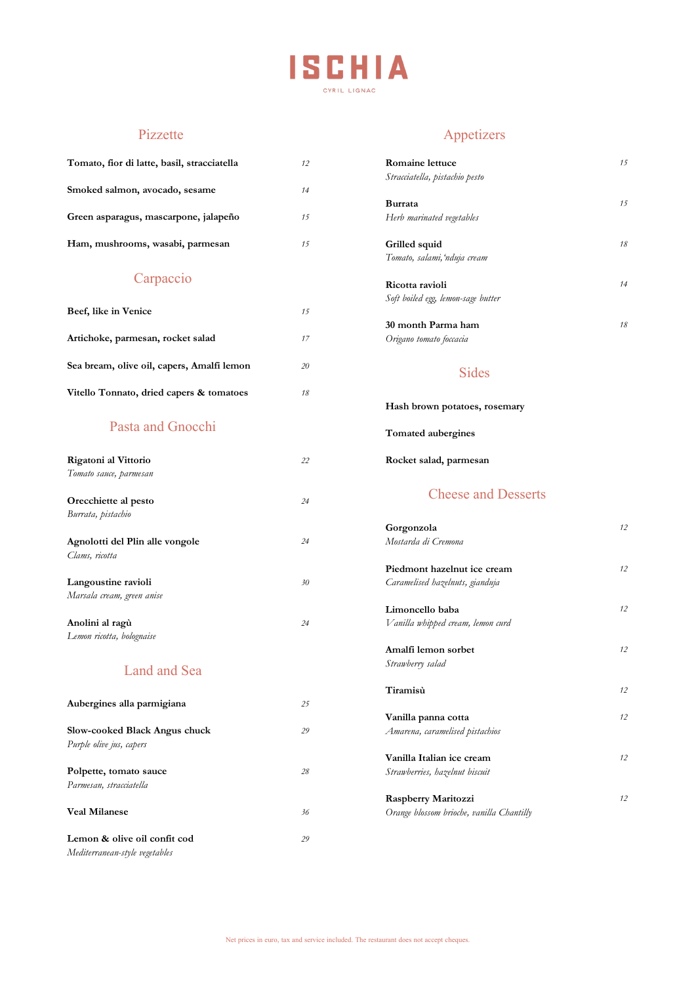

| Tomato, fior di latte, basil, stracciatella                    | 12 |
|----------------------------------------------------------------|----|
| Smoked salmon, avocado, sesame                                 | 14 |
| Green asparagus, mascarpone, jalapeño                          | 15 |
| Ham, mushrooms, wasabi, parmesan                               | 15 |
| Carpaccio                                                      |    |
| Beef, like in Venice                                           | 15 |
| Artichoke, parmesan, rocket salad                              | 17 |
| Sea bream, olive oil, capers, Amalfi lemon                     | 20 |
| Vitello Tonnato, dried capers & tomatoes                       | 18 |
| Pasta and Gnocchi                                              |    |
| Rigatoni al Vittorio<br>Tomato sauce, parmesan                 | 22 |
| Orecchiette al pesto<br>Burrata, pistachio                     | 24 |
| Agnolotti del Plin alle vongole<br>Clams, ricotta              | 24 |
| Langoustine ravioli<br>Marsala cream, green anise              | 30 |
| Anolini al ragù<br>Lemon ricotta, bolognaise                   | 24 |
| <b>Land and Sea</b>                                            |    |
| Aubergines alla parmigiana                                     | 25 |
| Slow-cooked Black Angus chuck<br>Purple olive jus, capers      | 29 |
| Polpette, tomato sauce                                         | 28 |
| Parmesan, stracciatella                                        |    |
| <b>Veal Milanese</b>                                           | 36 |
| Lemon & olive oil confit cod<br>Mediterranean-style vegetables | 29 |

# Pizzette Appetizers

| 12 | <b>Romaine lettuce</b>             | 15 |
|----|------------------------------------|----|
|    | Stracciatella, pistachio pesto     |    |
| 14 |                                    |    |
|    | Burrata                            | 15 |
| 15 | Herb marinated vegetables          |    |
| 15 | Grilled squid                      | 18 |
|    | Tomato, salami, nduja cream        |    |
|    | Ricotta ravioli                    | 14 |
|    | Soft boiled egg, lemon-sage butter |    |
| 15 |                                    |    |
|    | 30 month Parma ham                 | 18 |
| 17 | Origano tomato foccacia            |    |

### Sides

|  | Hash brown potatoes, rosemary |  |
|--|-------------------------------|--|
|  |                               |  |

**Tomated aubergines**

*22* **Rocket salad, parmesan**

# Cheese and Desserts

|    | Gorgonzola                                | 12 |
|----|-------------------------------------------|----|
| 24 | Mostarda di Cremona                       |    |
|    | Piedmont hazelnut ice cream               | 12 |
| 30 | Caramelised hazelnuts, gianduja           |    |
|    | Limoncello baba                           | 12 |
| 24 | Vanilla whipped cream, lemon curd         |    |
|    | Amalfi lemon sorbet                       | 12 |
|    | Strawberry salad                          |    |
|    | Tiramisù                                  | 12 |
| 25 |                                           |    |
|    | Vanilla panna cotta                       | 12 |
| 29 | Amarena, caramelised pistachios           |    |
|    | Vanilla Italian ice cream                 | 12 |
| 28 | Strawberries, hazelnut biscuit            |    |
|    | Raspberry Maritozzi                       | 12 |
| 36 | Orange blossom brioche, vanilla Chantilly |    |